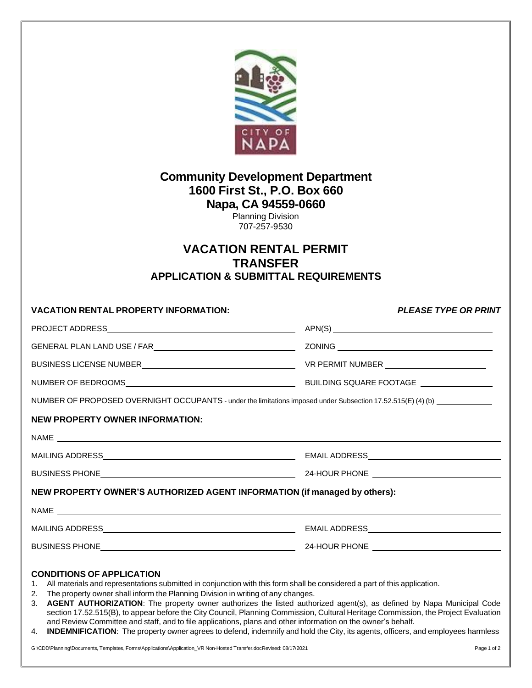

## **Community Development Department 1600 First St., P.O. Box 660 Napa, CA 94559-0660**

Planning Division 707-257-9530

## **VACATION RENTAL PERMIT TRANSFER APPLICATION & SUBMITTAL REQUIREMENTS**

| <b>VACATION RENTAL PROPERTY INFORMATION:</b>                                                                               | <b>PLEASE TYPE OR PRINT</b> |
|----------------------------------------------------------------------------------------------------------------------------|-----------------------------|
|                                                                                                                            | APN(S)                      |
| GENERAL PLAN LAND USE / FAR                                                                                                |                             |
|                                                                                                                            |                             |
|                                                                                                                            |                             |
| NUMBER OF PROPOSED OVERNIGHT OCCUPANTS - under the limitations imposed under Subsection 17.52.515(E) (4) (b) _____________ |                             |
| NEW PROPERTY OWNER INFORMATION:                                                                                            |                             |
|                                                                                                                            |                             |
|                                                                                                                            |                             |
|                                                                                                                            |                             |
| NEW PROPERTY OWNER'S AUTHORIZED AGENT INFORMATION (if managed by others):                                                  |                             |
|                                                                                                                            |                             |
|                                                                                                                            |                             |
|                                                                                                                            |                             |
| CONDITIONS OF A BBLIO ATION                                                                                                |                             |

## **CONDITIONS OF APPLICATION**

- 1. All materials and representations submitted in conjunction with this form shall be considered a part of this application.
- 2. The property owner shall inform the Planning Division in writing of any changes.
- 3. **AGENT AUTHORIZATION**: The property owner authorizes the listed authorized agent(s), as defined by Napa Municipal Code section 17.52.515(B), to appear before the City Council, Planning Commission, Cultural Heritage Commission, the Project Evaluation and Review Committee and staff, and to file applications, plans and other information on the owner's behalf.
- 4. **INDEMNIFICATION**: The property owner agrees to defend, indemnify and hold the City, its agents, officers, and employees harmless

G:\CDD\Planning\Documents, Templates, Forms\Applications\Application\_VR Non-Hosted Transfer.docRevised: 08/17/2021 Page 1 of 2